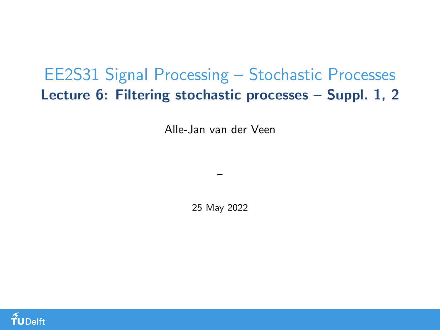## <span id="page-0-0"></span>EE2S31 Signal Processing – Stochastic Processes Lecture 6: Filtering stochastic processes – Suppl. 1, 2

Alle-Jan van der Veen

25 May 2022

–

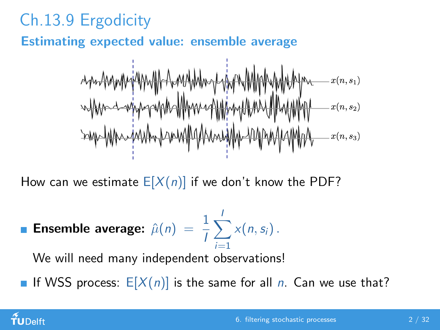## Ch.13.9 Ergodicity

Estimating expected value: ensemble average

$$
\frac{\partial^2 \mathbf{1}{\partial u}^T}{\partial u}^T\mathbf{1}{\partial u}^T\mathbf{1}{\partial u}^T\mathbf{1}{\partial u}^T\mathbf{1}{\partial u}^T\mathbf{1}{\partial u}^T\mathbf{1}{\partial u}^T\mathbf{1}{\partial u}^T\mathbf{1}{\partial u}^T\mathbf{1}{\partial u}^T\mathbf{1}{\partial u}^T\mathbf{1}{\partial u}^T\mathbf{1}{\partial u}^T\mathbf{1}{\partial u}^T\mathbf{1}{\partial u}^T\mathbf{1}{\partial u}^T\mathbf{1}{\partial u}^T\mathbf{1}{\partial u}^T\mathbf{1}{\partial u}^T\mathbf{1}{\partial u}^T\mathbf{1}{\partial u}^T\mathbf{1}{\partial u}^T\mathbf{1}{\partial u}^T\mathbf{1}{\partial u}^T\mathbf{1}{\partial u}^T\mathbf{1}{\partial u}^T\mathbf{1}{\partial u}^T\mathbf{1}{\partial u}^T\mathbf{1}{\partial u}^T\mathbf{1}{\partial u}^T\mathbf{1}{\partial u}^T\mathbf{1}{\partial u}^T\mathbf{1}{\partial u}^T\mathbf{1}{\partial u}^T\mathbf{1}{\partial u}^T\mathbf{1}{\partial u}^T\mathbf{1}{\partial u}^T\mathbf{1}{\partial u}^T\mathbf{1}{\partial u}^T\mathbf{1}{\partial u}^T\mathbf{1}{\partial u}^T\mathbf{1}{\partial u}^T\mathbf{1}{\partial u}^T\mathbf{1}{\partial u}^T\mathbf{1}{\partial u}^T\mathbf{1}{\partial u}^T\mathbf{1}{\partial u}^T\mathbf{1}{\partial u}^T\mathbf{1}{\partial u}^T\mathbf{1}{\partial u}^T\mathbf{1}{\partial u}^T\mathbf{1}{\partial u}^T\mathbf{1}{\partial u}^T\mathbf{1}{\partial u}^T\mathbf{1}{\partial u}^T\mathbf{1}{\partial u}^T\mathbf{1}{\partial u}^T\mathbf{1}{\partial u}^T\mathbf{1}{\partial u}^T\mathbf{1}{\partial u}^T\mathbf{1}{\partial u}^T\mathbf{1}{\partial u}^T\mathbf
$$

How can we estimate  $E[X(n)]$  if we don't know the PDF?

**Example average:** 
$$
\hat{\mu}(n) = \frac{1}{l} \sum_{i=1}^{l} x(n, s_i)
$$
.

We will need many independent observations!

If WSS process:  $E[X(n)]$  is the same for all n. Can we use that?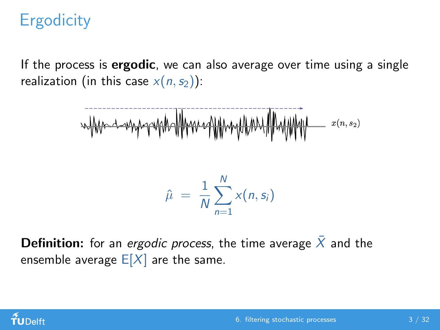If the process is **ergodic**, we can also average over time using a single realization (in this case  $x(n, s_2)$ ):

$$
\frac{1}{2} \left\| \frac{1}{2} \left( \frac{1}{2} \left( \frac{1}{2} \left( \frac{1}{2} \left( \frac{1}{2} \left( \frac{1}{2} \left( \frac{1}{2} \left( \frac{1}{2} \left( \frac{1}{2} \left( \frac{1}{2} \right) \right) - \frac{1}{2} \left( \frac{1}{2} \left( \frac{1}{2} \left( \frac{1}{2} \right) - \frac{1}{2} \left( \frac{1}{2} \right) \right) - \frac{1}{2} \left( \frac{1}{2} \left( \frac{1}{2} \left( \frac{1}{2} \right) - \frac{1}{2} \left( \frac{1}{2} \left( \frac{1}{2} \right) - \frac{1}{2} \left( \frac{1}{2} \left( \frac{1}{2} \right) - \frac{1}{2} \left( \frac{1}{2} \left( \frac{1}{2} \right) - \frac{1}{2} \left( \frac{1}{2} \left( \frac{1}{2} \right) - \frac{1}{2} \left( \frac{1}{2} \left( \frac{1}{2} \right) - \frac{1}{2} \left( \frac{1}{2} \left( \frac{1}{2} \left( \frac{1}{2} \right) - \frac{1}{2} \left( \frac{1}{2} \right) - \frac{1}{2} \left( \frac{1}{2} \left( \frac{1}{2} \right) - \frac{1}{2} \left( \frac{1}{2} \right) - \frac{1}{2} \left( \frac{1}{2} \left( \frac{1}{2} \right) - \frac{1}{2} \left( \frac{1}{2} \right) - \frac{1}{2} \left( \frac{1}{2} \left( \frac{1}{2} \left( \frac{1}{2} \right) - \frac{1}{2} \left( \frac{1}{2} \left( \frac{1}{2} \right) - \frac{1}{2} \left( \frac{1}{2} \right) - \frac{1}{2} \left( \frac{1}{2} \right) - \frac{1}{2} \left( \frac{1}{2} \left( \frac{1}{2} \right) - \frac{1}{2} \left( \frac{1}{2} \right) - \frac{1}{2} \left( \frac{1}{2} \left( \frac{1}{2} \right) - \frac{1}{2} \left( \frac{1}{2} \right) -
$$

$$
\hat{\mu} = \frac{1}{N} \sum_{n=1}^{N} x(n, s_i)
$$

**Definition:** for an ergodic process, the time average  $\bar{X}$  and the ensemble average  $E[X]$  are the same.

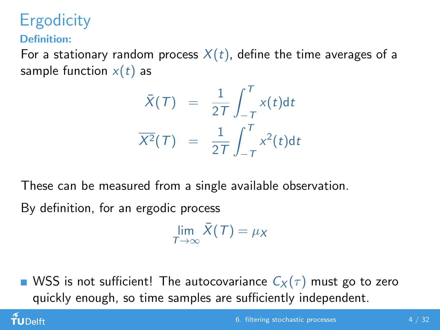Definition:

 $\tilde{\mathbf{f}}$ UDelft

For a stationary random process  $X(t)$ , define the time averages of a sample function  $x(t)$  as

$$
\bar{X}(T) = \frac{1}{2T} \int_{-T}^{T} x(t) dt
$$

$$
\overline{X^2}(T) = \frac{1}{2T} \int_{-T}^{T} x^2(t) dt
$$

These can be measured from a single available observation. By definition, for an ergodic process

 $\lim_{T\to\infty} \bar{X}(T) = \mu_X$ 

WSS is not sufficient! The autocovariance  $C_X(\tau)$  must go to zero quickly enough, so time samples are sufficiently independent.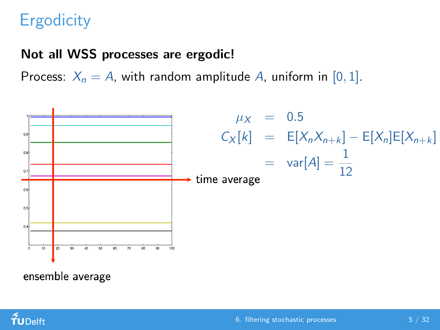#### Not all WSS processes are ergodic!

Process:  $X_n = A$ , with random amplitude A, uniform in [0, 1].



ensemble average

TUDelft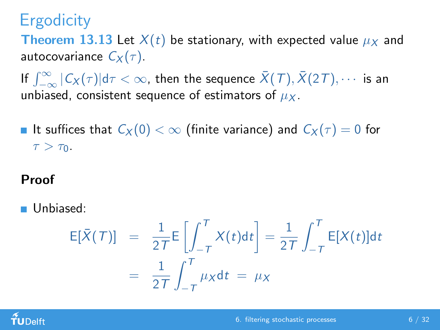**Theorem 13.13** Let  $X(t)$  be stationary, with expected value  $\mu_X$  and autocovariance  $C_X(\tau)$ .

If  $\int_{-\infty}^{\infty} |C_X(\tau)| \mathrm{d}\tau < \infty$ , then the sequence  $\bar{X}(T), \bar{X}(2T), \cdots$  is an unbiased, consistent sequence of estimators of  $\mu_X$ .

It suffices that  $C_X(0) < \infty$  (finite variance) and  $C_X(\tau) = 0$  for  $\tau > \tau_0$ .

#### Proof

Unbiased:

$$
\mathsf{E}[\bar{X}(T)] = \frac{1}{2T} \mathsf{E} \left[ \int_{-T}^{T} X(t) \mathrm{d}t \right] = \frac{1}{2T} \int_{-T}^{T} \mathsf{E}[X(t)] \mathrm{d}t
$$

$$
= \frac{1}{2T} \int_{-T}^{T} \mu_X \mathrm{d}t = \mu_X
$$

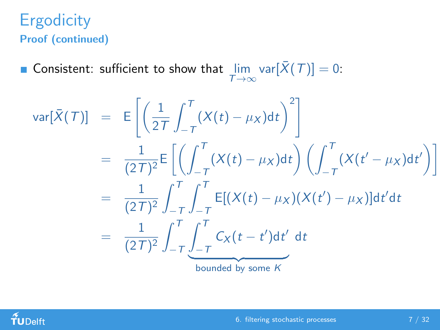#### **Ergodicity** Proof (continued)

Consistent: sufficient to show that  $\lim_{T\to\infty} \text{var}[\bar{X}(T)] = 0$ :

$$
\begin{array}{rcl}\n\text{var}[\bar{X}(T)] & = & \mathbb{E}\left[\left(\frac{1}{2T}\int_{-T}^{T} (X(t) - \mu_X) \, \mathrm{d}t\right)^2\right] \\
& = & \frac{1}{(2T)^2} \mathbb{E}\left[\left(\int_{-T}^{T} (X(t) - \mu_X) \, \mathrm{d}t\right) \left(\int_{-T}^{T} (X(t' - \mu_X) \, \mathrm{d}t')\right)\right] \\
& = & \frac{1}{(2T)^2} \int_{-T}^{T} \int_{-T}^{T} \mathbb{E}[(X(t) - \mu_X)(X(t') - \mu_X)] \, \mathrm{d}t' \, \mathrm{d}t \\
& = & \frac{1}{(2T)^2} \int_{-T}^{T} \int_{-T}^{T} C_X(t - t') \, \mathrm{d}t' \, \mathrm{d}t \\
& \text{bounded by some } K\n\end{array}
$$

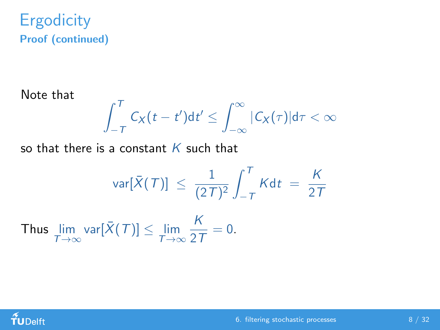#### **Ergodicity** Proof (continued)

Note that

$$
\int_{-T}^{T} C_X(t-t') \mathsf{d} t' \leq \int_{-\infty}^{\infty} |C_X(\tau)| \mathsf{d} \tau < \infty
$$

so that there is a constant  $K$  such that

$$
\text{var}[\bar{X}(T)] \leq \frac{1}{(2T)^2} \int_{-T}^{T} K dt = \frac{K}{2T}
$$

Thus  $\lim_{T \to \infty} \text{var}[\bar{X}(T)] \le \lim_{T \to \infty}$ K  $\frac{\dot{\Omega}}{2T} = 0.$ 

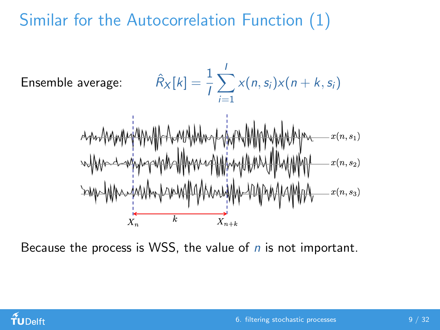# Similar for the Autocorrelation Function (1)



Because the process is WSS, the value of  $n$  is not important.

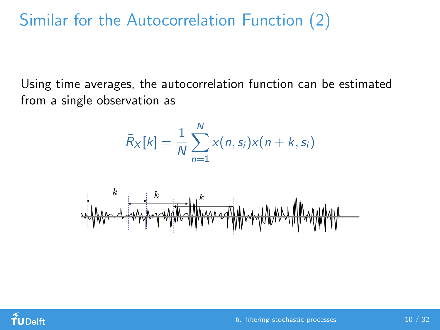## Similar for the Autocorrelation Function (2)

Using time averages, the autocorrelation function can be estimated from a single observation as

$$
\bar{R}_X[k] = \frac{1}{N} \sum_{n=1}^N x(n, s_i) x(n+k, s_i)
$$



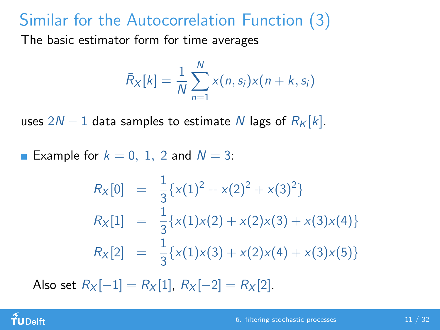## Similar for the Autocorrelation Function (3)

The basic estimator form for time averages

$$
\bar{R}_X[k] = \frac{1}{N} \sum_{n=1}^N x(n, s_i) x(n+k, s_i)
$$

uses  $2N - 1$  data samples to estimate N lags of  $R_K[k]$ .

**Example for**  $k = 0, 1, 2$  and  $N = 3$ :

$$
R_X[0] = \frac{1}{3} \{x(1)^2 + x(2)^2 + x(3)^2\}
$$
  
\n
$$
R_X[1] = \frac{1}{3} \{x(1)x(2) + x(2)x(3) + x(3)x(4)\}
$$
  
\n
$$
R_X[2] = \frac{1}{3} \{x(1)x(3) + x(2)x(4) + x(3)x(5)\}
$$

Also set  $R_X[-1] = R_X[1]$ ,  $R_X[-2] = R_X[2]$ .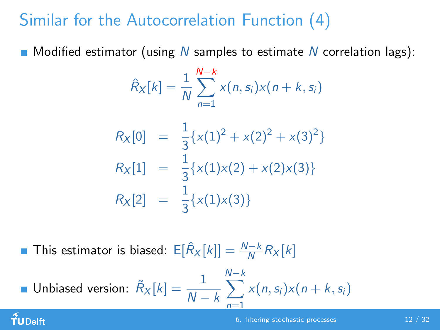# Similar for the Autocorrelation Function (4)

 $\blacksquare$  Modified estimator (using N samples to estimate N correlation lags):

$$
\hat{R}_X[k] = \frac{1}{N} \sum_{n=1}^{N-k} x(n, s_i) x(n+k, s_i)
$$

$$
R_X[0] = \frac{1}{3} \{x(1)^2 + x(2)^2 + x(3)^2\}
$$
  
\n
$$
R_X[1] = \frac{1}{3} \{x(1)x(2) + x(2)x(3)\}
$$
  
\n
$$
R_X[2] = \frac{1}{3} \{x(1)x(3)\}
$$

This estimator is biased:  $E[\hat{R}_X[k]] = \frac{N-k}{N} R_X[k]$ 

TUDelft

■ Unbiased version: 
$$
\tilde{R}_X[k] = \frac{1}{N-k} \sum_{n=1}^{N-k} x(n, s_i) x(n+k, s_i)
$$

#### [6. filtering stochastic processes](#page-0-0) 12 / 32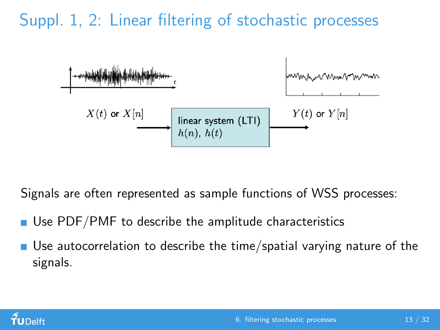## Suppl. 1, 2: Linear filtering of stochastic processes



Signals are often represented as sample functions of WSS processes:

- Use PDF/PMF to describe the amplitude characteristics
- Use autocorrelation to describe the time/spatial varying nature of the signals.

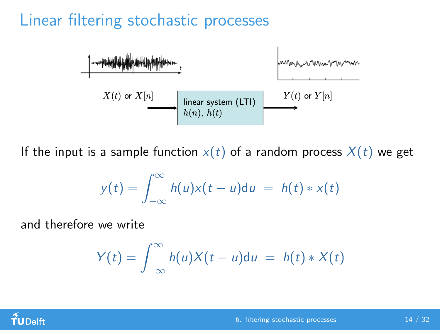## Linear filtering stochastic processes



If the input is a sample function  $x(t)$  of a random process  $X(t)$  we get

$$
y(t) = \int_{-\infty}^{\infty} h(u)x(t-u)du = h(t) * x(t)
$$

and therefore we write

$$
Y(t) = \int_{-\infty}^{\infty} h(u)X(t-u)du = h(t) * X(t)
$$

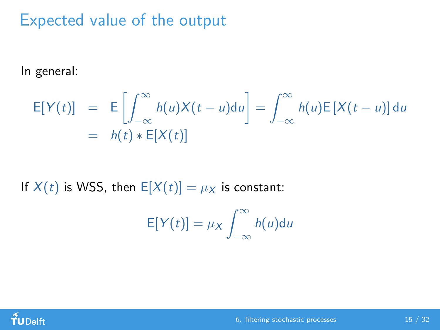## Expected value of the output

In general:

$$
\mathsf{E}[Y(t)] = \mathsf{E}\left[\int_{-\infty}^{\infty} h(u)X(t-u)du\right] = \int_{-\infty}^{\infty} h(u)\mathsf{E}[X(t-u)]du
$$
  
=  $h(t) * \mathsf{E}[X(t)]$ 

If  $X(t)$  is WSS, then  $E[X(t)] = \mu_X$  is constant:

$$
E[Y(t)] = \mu_X \int_{-\infty}^{\infty} h(u) \mathrm{d}u
$$

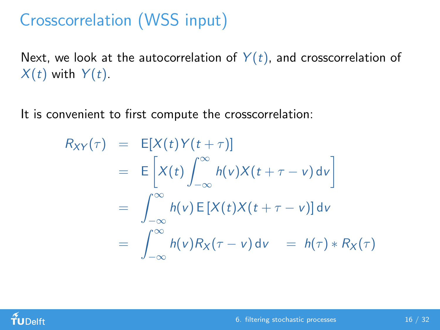# Crosscorrelation (WSS input)

Next, we look at the autocorrelation of  $Y(t)$ , and crosscorrelation of  $X(t)$  with  $Y(t)$ .

It is convenient to first compute the crosscorrelation:

$$
R_{XY}(\tau) = E[X(t)Y(t+\tau)]
$$
  
\n
$$
= E\left[X(t)\int_{-\infty}^{\infty}h(v)X(t+\tau-v) dv\right]
$$
  
\n
$$
= \int_{-\infty}^{\infty}h(v)E[X(t)X(t+\tau-v)] dv
$$
  
\n
$$
= \int_{-\infty}^{\infty}h(v)R_X(\tau-v) dv = h(\tau) * R_X(\tau)
$$

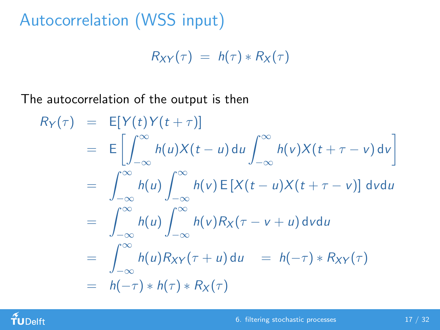Autocorrelation (WSS input)

$$
R_{XY}(\tau) = h(\tau) * R_X(\tau)
$$

The autocorrelation of the output is then

$$
R_Y(\tau) = E[Y(t)Y(t+\tau)]
$$
  
\n
$$
= E\left[\int_{-\infty}^{\infty} h(u)X(t-u) du \int_{-\infty}^{\infty} h(v)X(t+\tau-v) dv\right]
$$
  
\n
$$
= \int_{-\infty}^{\infty} h(u) \int_{-\infty}^{\infty} h(v) E[X(t-u)X(t+\tau-v)] dv du
$$
  
\n
$$
= \int_{-\infty}^{\infty} h(u) \int_{-\infty}^{\infty} h(v) R_X(\tau-v+u) dv du
$$
  
\n
$$
= \int_{-\infty}^{\infty} h(u) R_{XY}(\tau+u) du = h(-\tau) * R_{XY}(\tau)
$$
  
\n
$$
= h(-\tau) * h(\tau) * R_X(\tau)
$$

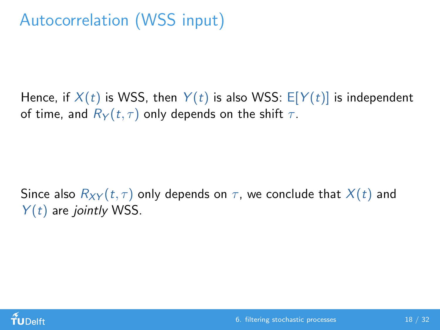# Autocorrelation (WSS input)

Hence, if  $X(t)$  is WSS, then  $Y(t)$  is also WSS:  $E[Y(t)]$  is independent of time, and  $R_Y(t, \tau)$  only depends on the shift  $\tau$ .

Since also  $R_{XY}(t, \tau)$  only depends on  $\tau$ , we conclude that  $X(t)$  and  $Y(t)$  are jointly WSS.

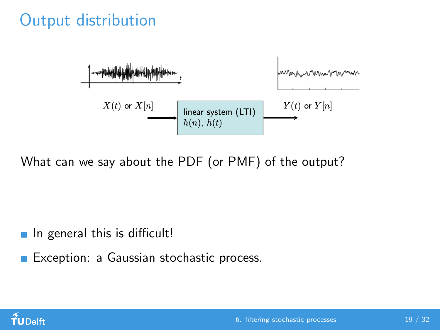## Output distribution



What can we say about the PDF (or PMF) of the output?

 $\blacksquare$  In general this is difficult!

Exception: a Gaussian stochastic process.

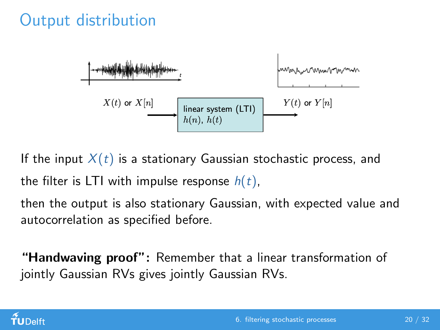## Output distribution



If the input  $X(t)$  is a stationary Gaussian stochastic process, and the filter is LTI with impulse response  $h(t)$ ,

then the output is also stationary Gaussian, with expected value and autocorrelation as specified before.

"Handwaving proof": Remember that a linear transformation of jointly Gaussian RVs gives jointly Gaussian RVs.

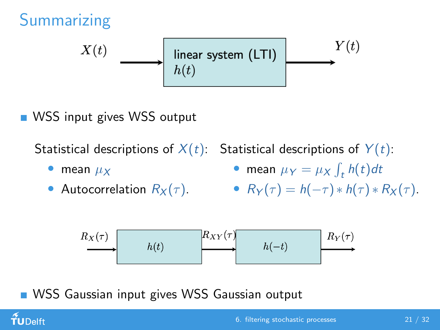

**WSS** input gives WSS output

mean  $\mu_X$ 

 $f$ UDelft

Autocorrelation  $R_X(\tau)$ .

Statistical descriptions of  $X(t)$ :  $\,$  Statistical descriptions of  $\,Y(t)$ :  $\,$ 

• mean 
$$
\mu_Y = \mu_X \int_t h(t) dt
$$

• 
$$
R_Y(\tau) = h(-\tau) * h(\tau) * R_X(\tau)
$$
.



WSS Gaussian input gives WSS Gaussian output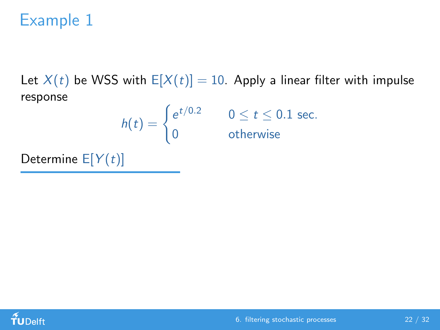Let  $X(t)$  be WSS with  $E[X(t)] = 10$ . Apply a linear filter with impulse response

$$
h(t) = \begin{cases} e^{t/0.2} & 0 \leq t \leq 0.1 \text{ sec.} \\ 0 & \text{otherwise} \end{cases}
$$

Determine  $E[Y(t)]$ 

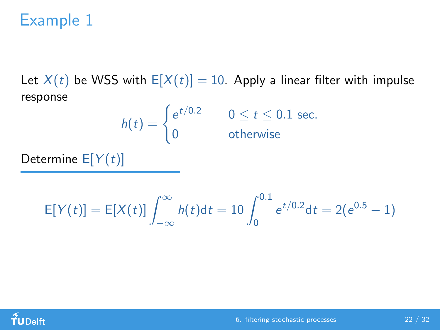Let  $X(t)$  be WSS with  $E[X(t)] = 10$ . Apply a linear filter with impulse response

$$
h(t) = \begin{cases} e^{t/0.2} & 0 \leq t \leq 0.1 \text{ sec.} \\ 0 & \text{otherwise} \end{cases}
$$

Determine  $E[Y(t)]$ 

$$
E[Y(t)] = E[X(t)] \int_{-\infty}^{\infty} h(t) dt = 10 \int_{0}^{0.1} e^{t/0.2} dt = 2(e^{0.5} - 1)
$$

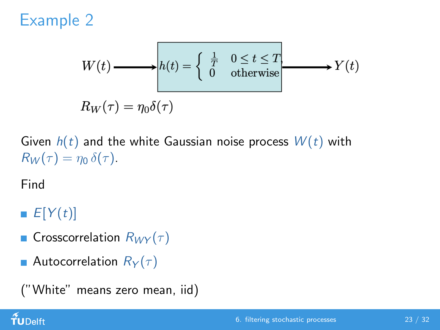$$
W(t) \longrightarrow h(t) = \begin{cases} \frac{1}{T} & 0 \le t \le T \\ 0 & \text{otherwise} \end{cases} \longrightarrow Y(t)
$$

$$
R_W(\tau) = \eta_0 \delta(\tau)
$$

Given  $h(t)$  and the white Gaussian noise process  $W(t)$  with  $R_W(\tau) = \eta_0 \, \delta(\tau)$ .

Find

 $E[Y(t)]$ 

- **Crosscorrelation**  $R_{WY}(\tau)$
- **Autocorrelation**  $R_Y(\tau)$

```
("White" means zero mean, iid)
```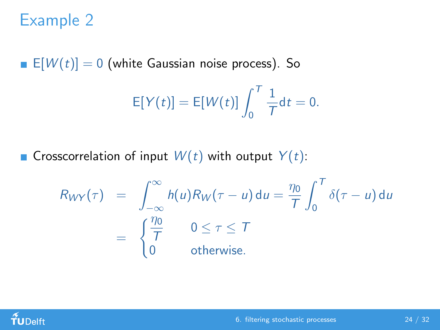E[ $W(t)$ ] = 0 (white Gaussian noise process). So

$$
E[Y(t)] = E[W(t)] \int_0^T \frac{1}{T} dt = 0.
$$

Grosscorrelation of input  $W(t)$  with output  $Y(t)$ :

$$
R_{WY}(\tau) = \int_{-\infty}^{\infty} h(u)R_W(\tau - u) du = \frac{\eta_0}{T} \int_0^T \delta(\tau - u) du
$$
  
= 
$$
\begin{cases} \frac{\eta_0}{T} & 0 \le \tau \le T \\ 0 & \text{otherwise.} \end{cases}
$$

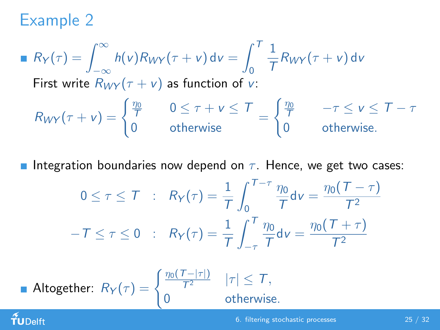$f$ UDelft

■ 
$$
R_Y(\tau) = \int_{-\infty}^{\infty} h(v)R_{WY}(\tau + v) dv = \int_{0}^{T} \frac{1}{T}R_{WY}(\tau + v) dv
$$
  
\nFirst write  $R_{WY}(\tau + v)$  as function of v:  
\n $R_{WY}(\tau + v) = \begin{cases} \frac{\eta_0}{T} & 0 \le \tau + v \le T \\ 0 & \text{otherwise} \end{cases} = \begin{cases} \frac{\eta_0}{T} & -\tau \le v \le T - \tau \\ 0 & \text{otherwise} \end{cases}$ 

**Integration boundaries now depend on**  $\tau$ **. Hence, we get two cases:** 

$$
0 \leq \tau \leq T \quad : \quad R_Y(\tau) = \frac{1}{T} \int_0^{T-\tau} \frac{\eta_0}{T} \mathrm{d}v = \frac{\eta_0(T-\tau)}{T^2}
$$

$$
-T \leq \tau \leq 0 \quad : \quad R_Y(\tau) = \frac{1}{T} \int_{-\tau}^{T} \frac{\eta_0}{T} \mathrm{d}v = \frac{\eta_0(T+\tau)}{T^2}
$$

■ **Altogether**: 
$$
R_Y(\tau) = \begin{cases} \frac{\eta_0(T-|\tau|)}{T^2} & |\tau| \leq T, \\ 0 & \text{otherwise} \end{cases}
$$

otherwise.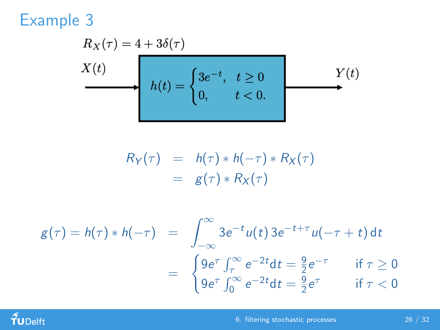$$
R_X(\tau) = 4 + 3\delta(\tau)
$$
  

$$
X(t)
$$
  

$$
h(t) = \begin{cases} 3e^{-t}, & t \ge 0 \\ 0, & t < 0. \end{cases}
$$
  

$$
Y(t)
$$

$$
R_Y(\tau) = h(\tau) * h(-\tau) * R_X(\tau)
$$
  
=  $g(\tau) * R_X(\tau)$ 

$$
g(\tau) = h(\tau) * h(-\tau) = \int_{-\infty}^{\infty} 3e^{-t} u(t) 3e^{-t+\tau} u(-\tau + t) dt
$$
  
= 
$$
\begin{cases} 9e^{\tau} \int_{\tau}^{\infty} e^{-2t} dt = \frac{9}{2}e^{-\tau} & \text{if } \tau \ge 0 \\ 9e^{\tau} \int_{0}^{\infty} e^{-2t} dt = \frac{9}{2}e^{\tau} & \text{if } \tau < 0 \end{cases}
$$



[6. filtering stochastic processes](#page-0-0) 26 / 32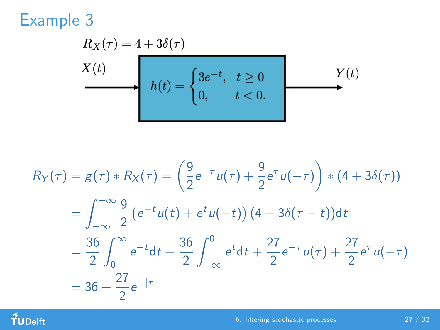$$
R_X(\tau) = 4 + 3\delta(\tau)
$$
  

$$
X(t)
$$
  

$$
h(t) = \begin{cases} 3e^{-t}, & t \ge 0 \\ 0, & t < 0. \end{cases}
$$
  

$$
Y(t)
$$

$$
R_Y(\tau) = g(\tau) * R_X(\tau) = \left(\frac{9}{2}e^{-\tau}u(\tau) + \frac{9}{2}e^{\tau}u(-\tau)\right) * (4 + 3\delta(\tau))
$$
  
=  $\int_{-\infty}^{+\infty} \frac{9}{2} (e^{-t}u(t) + e^t u(-t)) (4 + 3\delta(\tau - t)) dt$   
=  $\frac{36}{2} \int_{0}^{\infty} e^{-t} dt + \frac{36}{2} \int_{-\infty}^{0} e^t dt + \frac{27}{2} e^{-\tau} u(\tau) + \frac{27}{2} e^{\tau} u(-\tau)$   
=  $36 + \frac{27}{2} e^{-|\tau|}$ 

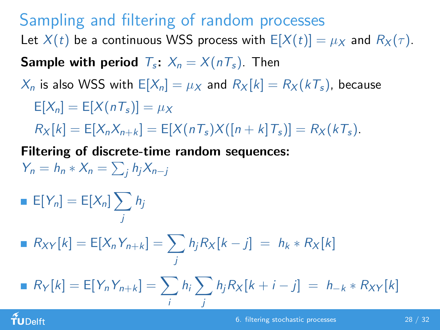#### Sampling and filtering of random processes

Let  $X(t)$  be a continuous WSS process with  $E[X(t)] = \mu_X$  and  $R_X(\tau)$ .

**Sample with period**  $T_s$ :  $X_n = X(nT_s)$ . Then

 $X_n$  is also WSS with  $E[X_n] = \mu_X$  and  $R_X[k] = R_X(kT_s)$ , because

 $E[X_n] = E[X(nT_s)] = \mu_X$ 

 $R_X[k] = E[X_n X_{n+k}] = E[X(nT_s)X([n+k]T_s)] = R_X(kT_s).$ 

Filtering of discrete-time random sequences:  $Y_n = h_n * X_n = \sum_j h_j X_{n-j}$ 

$$
\blacksquare \mathsf{E}[Y_n] = \mathsf{E}[X_n] \sum_j h_j
$$

$$
R_{XY}[k] = E[X_n Y_{n+k}] = \sum_j h_j R_X[k-j] = h_k * R_X[k]
$$

$$
R_Y[k] = E[Y_n Y_{n+k}] = \sum_i h_i \sum_j h_j R_X[k+i-j] = h_{-k} * R_{XY}[k]
$$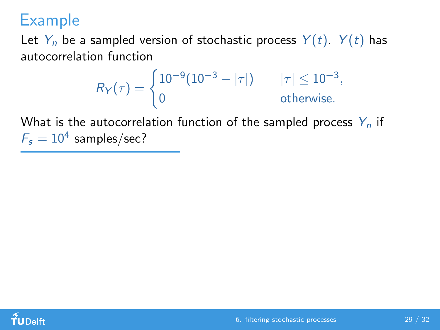Let  $Y_n$  be a sampled version of stochastic process  $Y(t)$ .  $Y(t)$  has autocorrelation function

$$
R_Y(\tau) = \begin{cases} 10^{-9} (10^{-3} - |\tau|) & |\tau| \le 10^{-3}, \\ 0 & \text{otherwise.} \end{cases}
$$

What is the autocorrelation function of the sampled process  $Y_n$  if  $F_s = 10^4$  samples/sec?

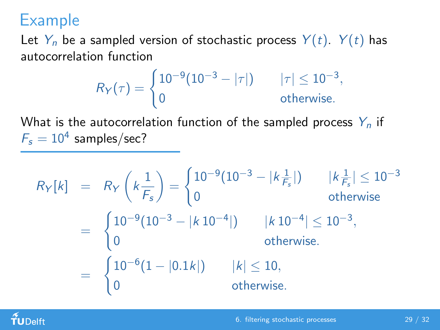Let  $Y_n$  be a sampled version of stochastic process  $Y(t)$ .  $Y(t)$  has autocorrelation function

$$
R_Y(\tau) = \begin{cases} 10^{-9} (10^{-3} - |\tau|) & |\tau| \le 10^{-3}, \\ 0 & \text{otherwise.} \end{cases}
$$

What is the autocorrelation function of the sampled process  $Y_n$  if  $F_s = 10^4$  samples/sec?

$$
R_{Y}[k] = R_{Y}\left(k\frac{1}{F_{s}}\right) = \begin{cases} 10^{-9}(10^{-3} - |k\frac{1}{F_{s}}|) & |k\frac{1}{F_{s}}| \le 10^{-3} \\ 0 & \text{otherwise} \end{cases}
$$
  
= 
$$
\begin{cases} 10^{-9}(10^{-3} - |k\,10^{-4}|) & |k\,10^{-4}| \le 10^{-3}, \\ 0 & \text{otherwise.} \end{cases}
$$
  
= 
$$
\begin{cases} 10^{-6}(1 - |0.1k|) & |k| \le 10, \\ 0 & \text{otherwise.} \end{cases}
$$

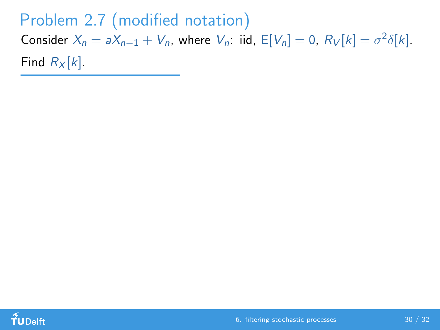Problem 2.7 (modified notation) Consider  $X_n = aX_{n-1} + V_n$ , where  $V_n$ : iid,  $E[V_n] = 0$ ,  $R_V[k] = \sigma^2 \delta[k]$ . Find  $R_X[k]$ .

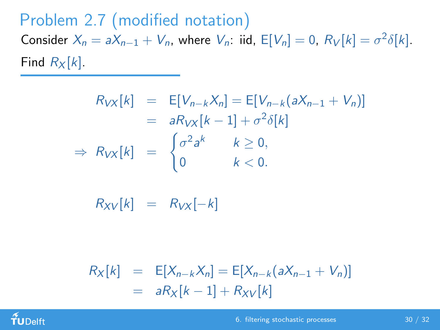Problem 2.7 (modified notation) Consider  $X_n = aX_{n-1} + V_n$ , where  $V_n$ : iid,  $E[V_n] = 0$ ,  $R_V[k] = \sigma^2 \delta[k]$ . Find  $R_X[k]$ .

$$
R_{VX}[k] = E[V_{n-k}X_n] = E[V_{n-k}(aX_{n-1} + V_n)]
$$
  
\n
$$
= aR_{VX}[k-1] + \sigma^2 \delta[k]
$$
  
\n
$$
\Rightarrow R_{VX}[k] = \begin{cases} \sigma^2 a^k & k \ge 0, \\ 0 & k < 0. \end{cases}
$$

 $R_{XY}[k] = R_{VX}[-k]$ 

 $R_X[k] = \mathbb{E}[X_{n-k}X_n] = \mathbb{E}[X_{n-k}(aX_{n-1} + V_n)]$  $= aR_X[k-1] + R_{XY}[k]$ 

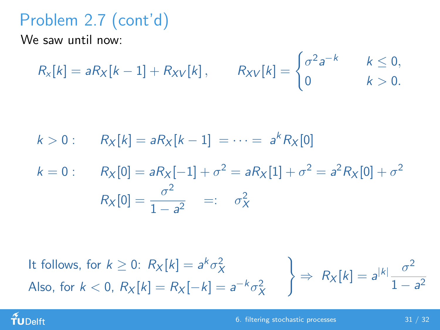# Problem 2.7 (cont'd)

We saw until now:

$$
R_x[k] = aR_X[k-1] + R_{XV}[k], \qquad R_{XV}[k] = \begin{cases} \sigma^2 a^{-k} & k \leq 0, \\ 0 & k > 0. \end{cases}
$$

$$
k > 0
$$
:  $R_X[k] = aR_X[k-1] = \cdots = a^k R_X[0]$ 

$$
k = 0: \t R_X[0] = aR_X[-1] + \sigma^2 = aR_X[1] + \sigma^2 = a^2R_X[0] + \sigma^2
$$

$$
R_X[0] = \frac{\sigma^2}{1 - a^2} =: \sigma_X^2
$$

It follows, for  $k \geq 0$ :  $R_X[k] = a^k \sigma_X^2$ Also, for  $k < 0$ ,  $R_X[k] = R_X[-k] = a^{-k} \sigma_X^2$ )  $\Rightarrow R_X[k] = a^{|k|} \frac{\sigma^2}{1}$  $1 - a^2$ 

#### TUDelft